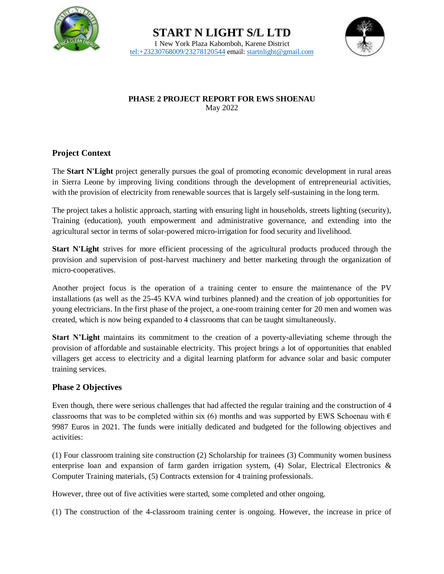



#### **PHASE 2 PROJECT REPORT FOR EWS SHOENAU** May 2022

## **Project Context**

The **Start N'Light** project generally pursues the goal of promoting economic development in rural areas in Sierra Leone by improving living conditions through the development of entrepreneurial activities, with the provision of electricity from renewable sources that is largely self-sustaining in the long term.

The project takes a holistic approach, starting with ensuring light in households, streets lighting (security), Training (education), youth empowerment and administrative governance, and extending into the agricultural sector in terms of solar-powered micro-irrigation for food security and livelihood.

**Start N'Light** strives for more efficient processing of the agricultural products produced through the provision and supervision of post-harvest machinery and better marketing through the organization of micro-cooperatives.

Another project focus is the operation of a training center to ensure the maintenance of the PV installations (as well as the 25-45 KVA wind turbines planned) and the creation of job opportunities for young electricians. In the first phase of the project, a one-room training center for 20 men and women was created, which is now being expanded to 4 classrooms that can be taught simultaneously.

**Start N'Light** maintains its commitment to the creation of a poverty-alleviating scheme through the provision of affordable and sustainable electricity. This project brings a lot of opportunities that enabled villagers get access to electricity and a digital learning platform for advance solar and basic computer training services.

## **Phase 2 Objectives**

Even though, there were serious challenges that had affected the regular training and the construction of 4 classrooms that was to be completed within six (6) months and was supported by EWS Schoenau with  $\epsilon$ 9987 Euros in 2021. The funds were initially dedicated and budgeted for the following objectives and activities:

(1) Four classroom training site construction (2) Scholarship for trainees (3) Community women business enterprise loan and expansion of farm garden irrigation system,  $(4)$  Solar, Electrical Electronics & Computer Training materials, (5) Contracts extension for 4 training professionals.

However, three out of five activities were started, some completed and other ongoing.

(1) The construction of the 4-classroom training center is ongoing. However, the increase in price of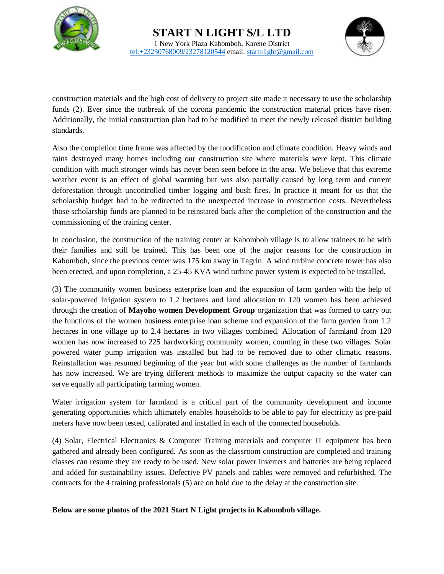



construction materials and the high cost of delivery to project site made it necessary to use the scholarship funds (2). Ever since the outbreak of the corona pandemic the construction material prices have risen. Additionally, the initial construction plan had to be modified to meet the newly released district building standards.

Also the completion time frame was affected by the modification and climate condition. Heavy winds and rains destroyed many homes including our construction site where materials were kept. This climate condition with much stronger winds has never been seen before in the area. We believe that this extreme weather event is an effect of global warming but was also partially caused by long term and current deforestation through uncontrolled timber logging and bush fires. In practice it meant for us that the scholarship budget had to be redirected to the unexpected increase in construction costs. Nevertheless those scholarship funds are planned to be reinstated back after the completion of the construction and the commissioning of the training center.

In conclusion, the construction of the training center at Kabomboh village is to allow trainees to be with their families and still be trained. This has been one of the major reasons for the construction in Kabomboh, since the previous center was 175 km away in Tagrin. A wind turbine concrete tower has also been erected, and upon completion, a 25-45 KVA wind turbine power system is expected to be installed.

(3) The community women business enterprise loan and the expansion of farm garden with the help of solar-powered irrigation system to 1.2 hectares and land allocation to 120 women has been achieved through the creation of **Mayoho women Development Group** organization that was formed to carry out the functions of the women business enterprise loan scheme and expansion of the farm garden from 1.2 hectares in one village up to 2.4 hectares in two villages combined. Allocation of farmland from 120 women has now increased to 225 hardworking community women, counting in these two villages. Solar powered water pump irrigation was installed but had to be removed due to other climatic reasons. Reinstallation was resumed beginning of the year but with some challenges as the number of farmlands has now increased. We are trying different methods to maximize the output capacity so the water can serve equally all participating farming women.

Water irrigation system for farmland is a critical part of the community development and income generating opportunities which ultimately enables households to be able to pay for electricity as pre-paid meters have now been tested, calibrated and installed in each of the connected households.

(4) Solar, Electrical Electronics & Computer Training materials and computer IT equipment has been gathered and already been configured. As soon as the classroom construction are completed and training classes can resume they are ready to be used. New solar power inverters and batteries are being replaced and added for sustainability issues. Defective PV panels and cables were removed and refurbished. The contracts for the 4 training professionals (5) are on hold due to the delay at the construction site.

#### **Below are some photos of the 2021 Start N Light projects in Kabomboh village.**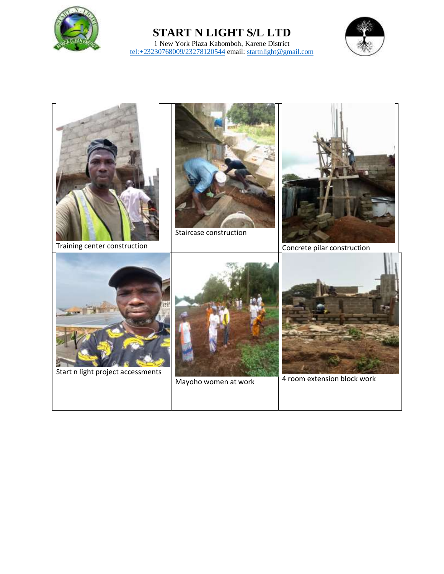

## **START N LIGHT S/L LTD** 1 New York Plaza Kabomboh, Karene District <tel:+23230768009/23278120544> email[: startnlight@gmail.com](mailto:startnlight@gmail.com)



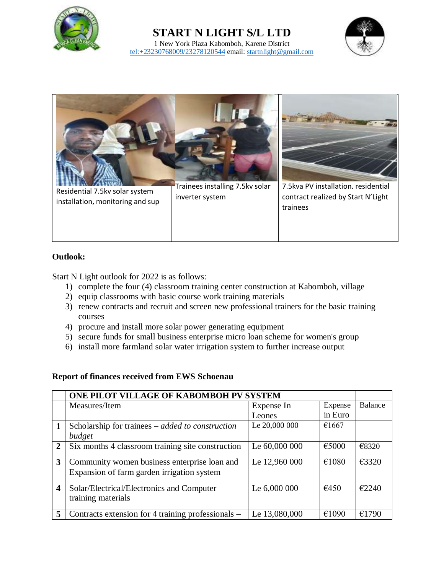

# **START N LIGHT S/L LTD**







### **Outlook:**

Start N Light outlook for 2022 is as follows:

- 1) complete the four (4) classroom training center construction at Kabomboh, village
- 2) equip classrooms with basic course work training materials
- 3) renew contracts and recruit and screen new professional trainers for the basic training courses
- 4) procure and install more solar power generating equipment
- 5) secure funds for small business enterprise micro loan scheme for women's group
- 6) install more farmland solar water irrigation system to further increase output

#### **Report of finances received from EWS Schoenau**

|                | ONE PILOT VILLAGE OF KABOMBOH PV SYSTEM                   |               |         |         |
|----------------|-----------------------------------------------------------|---------------|---------|---------|
|                | Measures/Item                                             | Expense In    | Expense | Balance |
|                |                                                           | Leones        | in Euro |         |
|                | Scholarship for trainees $-$ <i>added to construction</i> | Le 20,000 000 | €1667   |         |
|                | budget                                                    |               |         |         |
| $\overline{2}$ | Six months 4 classroom training site construction         | Le 60,000 000 | €5000   | €8320   |
| 3              | Community women business enterprise loan and              | Le 12,960 000 | €1080   | £3320   |
|                | Expansion of farm garden irrigation system                |               |         |         |
| 4              | Solar/Electrical/Electronics and Computer                 | Le 6,000 000  | €450    | €2240   |
|                | training materials                                        |               |         |         |
| 5              | Contracts extension for 4 training professionals -        | Le 13,080,000 | €1090   | €1790   |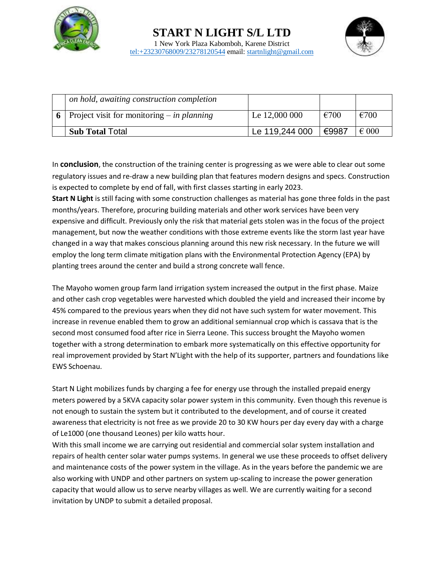



| on hold, awaiting construction completion        |                |                |                |
|--------------------------------------------------|----------------|----------------|----------------|
| 6   Project visit for monitoring $-$ in planning | Le 12,000 000  | $\epsilon$ 700 | $\epsilon$ 700 |
| <b>Sub Total Total</b>                           | Le 119,244 000 | ⊩€9987         | $\epsilon$ 000 |

In **conclusion**, the construction of the training center is progressing as we were able to clear out some regulatory issues and re-draw a new building plan that features modern designs and specs. Construction is expected to complete by end of fall, with first classes starting in early 2023.

**Start N Light** is still facing with some construction challenges as material has gone three folds in the past months/years. Therefore, procuring building materials and other work services have been very expensive and difficult. Previously only the risk that material gets stolen was in the focus of the project management, but now the weather conditions with those extreme events like the storm last year have changed in a way that makes conscious planning around this new risk necessary. In the future we will employ the long term climate mitigation plans with the Environmental Protection Agency (EPA) by planting trees around the center and build a strong concrete wall fence.

The Mayoho women group farm land irrigation system increased the output in the first phase. Maize and other cash crop vegetables were harvested which doubled the yield and increased their income by 45% compared to the previous years when they did not have such system for water movement. This increase in revenue enabled them to grow an additional semiannual crop which is cassava that is the second most consumed food after rice in Sierra Leone. This success brought the Mayoho women together with a strong determination to embark more systematically on this effective opportunity for real improvement provided by Start N'Light with the help of its supporter, partners and foundations like EWS Schoenau.

Start N Light mobilizes funds by charging a fee for energy use through the installed prepaid energy meters powered by a 5KVA capacity solar power system in this community. Even though this revenue is not enough to sustain the system but it contributed to the development, and of course it created awareness that electricity is not free as we provide 20 to 30 KW hours per day every day with a charge of Le1000 (one thousand Leones) per kilo watts hour.

With this small income we are carrying out residential and commercial solar system installation and repairs of health center solar water pumps systems. In general we use these proceeds to offset delivery and maintenance costs of the power system in the village. As in the years before the pandemic we are also working with UNDP and other partners on system up-scaling to increase the power generation capacity that would allow us to serve nearby villages as well. We are currently waiting for a second invitation by UNDP to submit a detailed proposal.